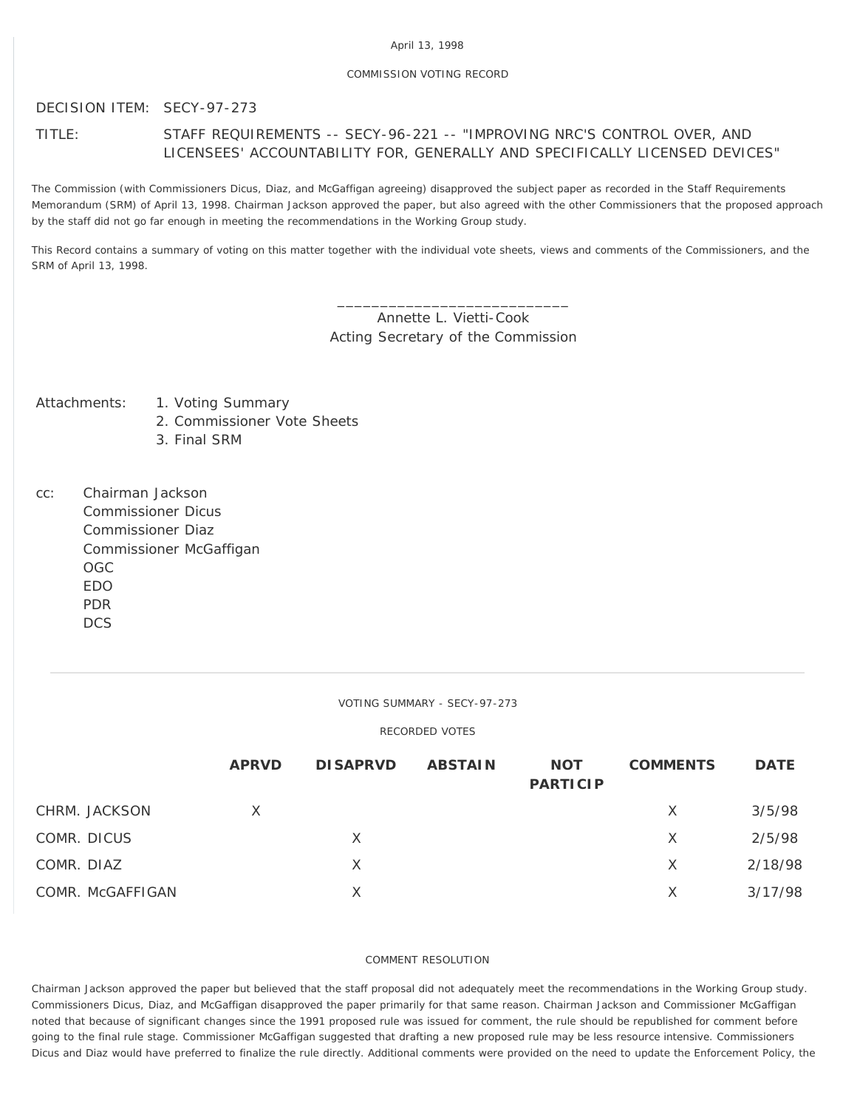#### April 13, 1998

### COMMISSION VOTING RECORD

# DECISION ITEM: SECY-97-273

# TITLE: STAFF REQUIREMENTS -- SECY-96-221 -- "IMPROVING NRC'S CONTROL OVER, AND LICENSEES' ACCOUNTABILITY FOR, GENERALLY AND SPECIFICALLY LICENSED DEVICES"

The Commission (with Commissioners Dicus, Diaz, and McGaffigan agreeing) disapproved the subject paper as recorded in the Staff Requirements Memorandum (SRM) of April 13, 1998. Chairman Jackson approved the paper, but also agreed with the other Commissioners that the proposed approach by the staff did not go far enough in meeting the recommendations in the Working Group study.

This Record contains a summary of voting on this matter together with the individual vote sheets, views and comments of the Commissioners, and the SRM of April 13, 1998.

> \_\_\_\_\_\_\_\_\_\_\_\_\_\_\_\_\_\_\_\_\_\_\_\_\_\_\_ Annette L. Vietti-Cook Acting Secretary of the Commission

Attachments: 1. Voting Summary

- 2. Commissioner Vote Sheets
	- 3. Final SRM
- cc: Chairman Jackson Commissioner Dicus Commissioner Diaz Commissioner McGaffigan OGC EDO PDR **DCS**

### VOTING SUMMARY - SECY-97-273

## RECORDED VOTES

|                  | <b>APRVD</b> | <b>DISAPRVD</b> | <b>ABSTAIN</b> | <b>NOT</b><br><b>PARTICIP</b> | <b>COMMENTS</b> | <b>DATE</b> |
|------------------|--------------|-----------------|----------------|-------------------------------|-----------------|-------------|
| CHRM. JACKSON    | X            |                 |                |                               | X               | 3/5/98      |
| COMR. DICUS      |              | X               |                |                               | X               | 2/5/98      |
| COMR. DIAZ       |              | X               |                |                               | X               | 2/18/98     |
| COMR. McGAFFIGAN |              | X               |                |                               | X               | 3/17/98     |

### COMMENT RESOLUTION

Chairman Jackson approved the paper but believed that the staff proposal did not adequately meet the recommendations in the Working Group study. Commissioners Dicus, Diaz, and McGaffigan disapproved the paper primarily for that same reason. Chairman Jackson and Commissioner McGaffigan noted that because of significant changes since the 1991 proposed rule was issued for comment, the rule should be republished for comment before going to the final rule stage. Commissioner McGaffigan suggested that drafting a new proposed rule may be less resource intensive. Commissioners Dicus and Diaz would have preferred to finalize the rule directly. Additional comments were provided on the need to update the Enforcement Policy, the